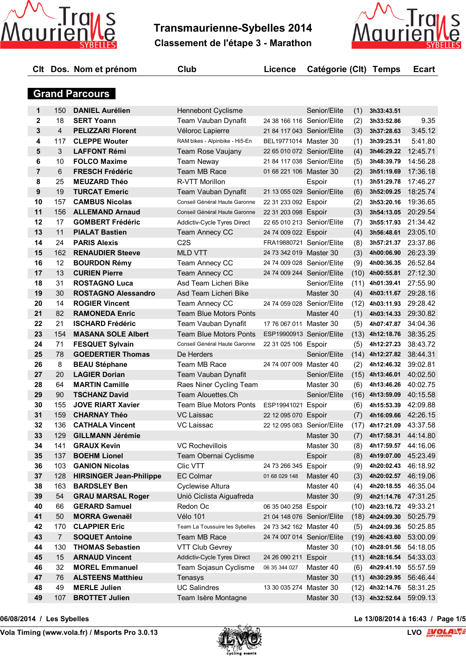



|                |                | CIt Dos. Nom et prénom                                | Club                                            | Licence                                               | Catégorie (Clt) Temps  |      |                                   | <b>Ecart</b>         |
|----------------|----------------|-------------------------------------------------------|-------------------------------------------------|-------------------------------------------------------|------------------------|------|-----------------------------------|----------------------|
|                |                | <b>Grand Parcours</b>                                 |                                                 |                                                       |                        |      |                                   |                      |
|                |                |                                                       |                                                 |                                                       |                        |      |                                   |                      |
| 1              | 150            | <b>DANIEL Aurélien</b>                                | Hennebont Cyclisme                              |                                                       | Senior/Elite           | (1)  | 3h33:43.51                        |                      |
| 2              | 18             | <b>SERT Yoann</b>                                     | Team Vauban Dynafit                             | 24 38 166 116 Senior/Elite                            |                        | (2)  | 3h33:52.86                        | 9.35                 |
| 3              | $\overline{4}$ | <b>PELIZZARI Florent</b>                              | Véloroc Lapierre                                | 21 84 117 043 Senior/Elite                            |                        | (3)  | 3h37:28.63                        | 3:45.12              |
| 4              | 117            | <b>CLEPPE Wouter</b>                                  | RAM bikes - Alpinbike - Hi5-En                  | BEL19771014 Master 30                                 |                        | (1)  | 3h39:25.31                        | 5:41.80              |
| 5              | 3              | <b>LAFFONT Rémi</b>                                   | <b>Team Rose Vaujany</b>                        | 22 65 010 072 Senior/Elite                            |                        | (4)  | 3h46:29.22                        | 12:45.71             |
| 6              | 10             | <b>FOLCO Maxime</b>                                   | <b>Team Neway</b>                               | 21 84 117 038 Senior/Elite                            |                        | (5)  | 3h48:39.79                        | 14:56.28             |
| $\overline{7}$ | 6              | <b>FRESCH Frédéric</b>                                | <b>Team MB Race</b>                             | 01 68 221 106 Master 30                               |                        | (2)  | 3h51:19.69                        | 17:36.18             |
| 8              | 25             | <b>MEUZARD Théo</b>                                   | <b>R-VTT Morillon</b>                           |                                                       | Espoir                 | (1)  | 3h51:29.78                        | 17:46.27             |
| 9              | 19             | <b>TURCAT Emeric</b>                                  | Team Vauban Dynafit                             | 21 13 055 029 Senior/Elite                            |                        | (6)  | 3h52:09.25                        | 18:25.74             |
| 10             | 157            | <b>CAMBUS Nicolas</b>                                 | Conseil Général Haute Garonne                   | 22 31 233 092 Espoir                                  |                        | (2)  | 3h53:20.16                        | 19:36.65             |
| 11<br>12       | 156<br>17      | <b>ALLEMAND Arnaud</b><br><b>GOMBERT Frédéric</b>     | Conseil Général Haute Garonne                   | 22 31 203 098 Espoir                                  |                        | (3)  | 3h54:13.05<br>3h55:17.93 21:34.42 | 20:29.54             |
|                |                |                                                       | Addictiv-Cycle Tyres Direct                     | 22 65 010 213 Senior/Elite                            |                        | (7)  |                                   |                      |
| 13             | 11<br>24       | <b>PIALAT Bastien</b>                                 | Team Annecy CC                                  | 24 74 009 022 Espoir                                  |                        | (4)  | 3h56:48.61                        | 23:05.10             |
| 14             |                | <b>PARIS Alexis</b>                                   | C <sub>2</sub> S                                | FRA19880721 Senior/Elite                              |                        | (8)  | 3h57:21.37                        | 23:37.86             |
| 15             | 162            | <b>RENAUDIER Steeve</b>                               | <b>MLD VTT</b>                                  | 24 73 342 019 Master 30<br>24 74 009 028 Senior/Elite |                        | (3)  | 4h00:06.90                        | 26:23.39             |
| 16             | 12             | <b>BOURDON Rémy</b><br><b>CURIEN Pierre</b>           | Team Annecy CC                                  |                                                       |                        | (9)  | 4h00:36.35                        | 26:52.84             |
| 17             | 13             |                                                       | Team Annecy CC                                  | 24 74 009 244 Senior/Elite                            |                        | (10) | 4h00:55.81                        | 27:12.30             |
| 18             | 31             | <b>ROSTAGNO Luca</b>                                  | Asd Team Licheri Bike                           |                                                       | Senior/Elite           | (11) | 4h01:39.41                        | 27:55.90             |
| 19             | 30             | <b>ROSTAGNO Alessandro</b>                            | Asd Team Licheri Bike                           |                                                       | Master 30              | (4)  | 4h03:11.67                        | 29:28.16             |
| 20             | 14             | <b>ROGIER Vincent</b>                                 | Team Annecy CC                                  | 24 74 059 028 Senior/Elite                            |                        | (12) | 4h03:11.93                        | 29:28.42             |
| 21             | 82             | <b>RAMONEDA Enric</b>                                 | <b>Team Blue Motors Ponts</b>                   |                                                       | Master 40              | (1)  | 4h03:14.33                        | 29:30.82             |
| 22             | 21             | <b>ISCHARD Frédéric</b>                               | Team Vauban Dynafit                             | 17 76 067 011 Master 30                               |                        | (5)  | 4h07:47.87                        | 34:04.36             |
| 23             | 154            | <b>MASANA SOLE Albert</b>                             | <b>Team Blue Motors Ponts</b>                   | ESP19900913 Senior/Elite                              |                        | (13) | 4h12:18.76                        | 38:35.25             |
| 24             | 71             | <b>FESQUET Sylvain</b>                                | Conseil Général Haute Garonne                   | 22 31 025 106 Espoir                                  |                        | (5)  | 4h12:27.23                        | 38:43.72             |
| 25             | 78             | <b>GOEDERTIER Thomas</b>                              | De Herders                                      |                                                       | Senior/Elite           | (14) | 4h12:27.82                        | 38:44.31             |
| 26             | 8              | <b>BEAU Stéphane</b>                                  | Team MB Race                                    | 24 74 007 009 Master 40                               |                        | (2)  | 4h12:46.32                        | 39:02.81             |
| 27             | 20             | <b>LAGIER Dorian</b>                                  | Team Vauban Dynafit                             |                                                       | Senior/Elite           | (15) | 4h13:46.01                        | 40:02.50             |
| 28             | 64             | <b>MARTIN Camille</b>                                 | Raes Niner Cycling Team                         |                                                       | Master 30              | (6)  | 4h13:46.26                        | 40:02.75             |
| 29             | 90             | <b>TSCHANZ David</b>                                  | Team Alouettes.Ch                               |                                                       | Senior/Elite           | (16) | 4h13:59.09                        | 40:15.58             |
| 30             | 155            | <b>JOVE RIART Xavier</b>                              | Team Blue Motors Ponts                          | ESP19941021 Espoir                                    |                        | (6)  | 4h15:53.39                        | 42:09.88             |
| 31             | 159            | <b>CHARNAY Théo</b>                                   | <b>VC Laissac</b>                               | 22 12 095 070 Espoir                                  |                        | (7)  | 4h16:09.66 42:26.15               |                      |
| 32             | 136            | <b>CATHALA Vincent</b>                                | VC Laissac                                      | 22 12 095 083 Senior/Elite                            |                        | (17) | 4h17:21.09                        | 43:37.58             |
| 33             | 129            | <b>GILLMANN Jérémie</b>                               |                                                 |                                                       | Master 30              | (7)  | 4h17:58.31                        | 44:14.80             |
| 34             | 141            | <b>GRAUX Kevin</b>                                    | <b>VC Rochevillois</b><br>Team Obernai Cyclisme |                                                       | Master 30              | (8)  | 4h17:59.57                        | 44:16.06             |
| 35             | 137            | <b>BOEHM Lionel</b>                                   |                                                 |                                                       | Espoir                 | (8)  | 4h19:07.00                        | 45:23.49<br>46:18.92 |
| 36             | 103            | <b>GANION Nicolas</b>                                 | Clic VTT                                        | 24 73 266 345 Espoir<br>01 68 029 148                 | Master 40              | (9)  | 4h20:02.43                        | 46:19.06             |
| 37             | 128            | <b>HIRSINGER Jean-Philippe</b><br><b>BARDSLEY Ben</b> | <b>EC Colmar</b>                                |                                                       |                        | (3)  | 4h20:02.57                        |                      |
| 38<br>39       | 163<br>54      |                                                       | Cyclewise Altura                                |                                                       | Master 40<br>Master 30 | (4)  | 4h20:18.55                        | 46:35.04             |
|                |                | <b>GRAU MARSAL Roger</b>                              | Unió Ciclista Aiguafreda                        |                                                       |                        | (9)  | 4h21:14.76                        | 47:31.25             |
| 40             | 66             | <b>GERARD Samuel</b>                                  | Redon Oc                                        | 06 35 040 258 Espoir                                  |                        | (10) | 4h23:16.72                        | 49:33.21             |
| 41             | 50             | <b>MORRA Gwenaël</b>                                  | <b>Vélo 101</b>                                 | 21 04 148 076 Senior/Elite                            |                        | (18) | 4h24:09.30                        | 50:25.79             |
| 42             | 170            | <b>CLAPPIER Eric</b>                                  | Team La Toussuire les Sybelles                  | 24 73 342 162 Master 40                               |                        | (5)  | 4h24:09.36                        | 50:25.85             |
| 43             | $\overline{7}$ | <b>SOQUET Antoine</b>                                 | Team MB Race                                    | 24 74 007 014 Senior/Elite                            |                        |      | $(19)$ 4h26:43.60                 | 53:00.09             |
| 44             | 130            | <b>THOMAS Sebastien</b>                               | VTT Club Gevrey                                 |                                                       | Master 30              |      | $(10)$ 4h28:01.56                 | 54:18.05             |
| 45             | 15             | <b>ARNAUD Vincent</b>                                 | Addictiv-Cycle Tyres Direct                     | 24 26 090 211 Espoir                                  |                        |      | $(11)$ 4h28:16.54                 | 54:33.03             |
| 46             | 32             | <b>MOREL Emmanuel</b>                                 | Team Sojasun Cyclisme                           | 06 35 344 027                                         | Master 40              | (6)  | 4h29:41.10                        | 55:57.59             |
| 47             | 76             | <b>ALSTEENS Matthieu</b>                              | Tenasys<br><b>UC Salindres</b>                  |                                                       | Master 30              | (11) | 4h30:29.95                        | 56:46.44             |
| 48             | 49             | <b>MERLE Julien</b>                                   |                                                 | 13 30 035 274 Master 30                               |                        |      | $(12)$ 4h32:14.76                 | 58:31.25             |
| 49             | 107            | <b>BROTTET Julien</b>                                 | Team Isère Montagne                             |                                                       | Master 30              |      | $(13)$ 4h32:52.64                 | 59:09.13             |



**06/08/2014 / Les Sybelles Le 13/08/2014 à 16:43 / Page 1/5**

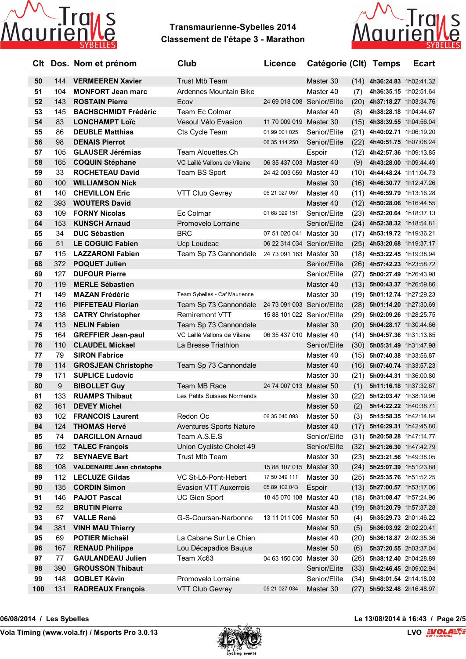



|     |     | CIt Dos. Nom et prénom            | Club                           | <b>Licence</b>             | Catégorie (Clt) Temps |      |                              | <b>Ecart</b> |
|-----|-----|-----------------------------------|--------------------------------|----------------------------|-----------------------|------|------------------------------|--------------|
| 50  | 144 | <b>VERMEEREN Xavier</b>           | <b>Trust Mtb Team</b>          |                            | Master 30             |      | $(14)$ 4h36:24.83 1h02:41.32 |              |
| 51  | 104 | <b>MONFORT Jean marc</b>          | <b>Ardennes Mountain Bike</b>  |                            | Master 40             | (7)  | 4h36:35.15 1h02:51.64        |              |
| 52  | 143 | <b>ROSTAIN Pierre</b>             | Ecov                           | 24 69 018 008 Senior/Elite |                       | (20) | 4h37:18.27 1h03:34.76        |              |
| 53  | 145 | <b>BACHSCHMIDT Frédéric</b>       | <b>Team Ec Colmar</b>          |                            | Master 40             | (8)  | 4h38:28.18 1h04:44.67        |              |
| 54  | 83  | <b>LONCHAMPT Loïc</b>             | Vesoul Vélo Evasion            | 11 70 009 019 Master 30    |                       | (15) | 4h38:39.55 1h04:56.04        |              |
| 55  | 86  | <b>DEUBLE Matthias</b>            | Cts Cycle Team                 | 01 99 001 025              | Senior/Elite          |      | (21) 4h40:02.71 1h06:19.20   |              |
| 56  | 98  | <b>DENAIS Pierrot</b>             |                                | 06 35 114 250              | Senior/Elite          | (22) | 4h40:51.75 1h07:08.24        |              |
| 57  | 105 | <b>GLAUSER Jérémias</b>           | Team Alouettes.Ch              |                            | Espoir                | (12) | 4h42:57.36 1h09:13.85        |              |
| 58  | 165 | <b>COQUIN Stéphane</b>            | VC Laillé Vallons de Vilaine   | 06 35 437 003 Master 40    |                       | (9)  | 4h43:28.00 1h09:44.49        |              |
| 59  | 33  | <b>ROCHETEAU David</b>            | Team BS Sport                  | 24 42 003 059 Master 40    |                       |      | $(10)$ 4h44:48.24 1h11:04.73 |              |
| 60  | 100 | <b>WILLIAMSON Nick</b>            |                                |                            | Master 30             |      | (16) 4h46:30.77 1h12:47.26   |              |
| 61  | 140 | <b>CHEVILLON Eric</b>             | <b>VTT Club Gevrey</b>         | 05 21 027 057              | Master 40             |      | $(11)$ 4h46:59.79 1h13:16.28 |              |
| 62  | 393 | <b>WOUTERS David</b>              |                                |                            | Master 40             |      | (12) 4h50:28.06 1h16:44.55   |              |
| 63  | 109 | <b>FORNY Nicolas</b>              | Ec Colmar                      | 01 68 029 151              | Senior/Elite          | (23) | 4h52:20.64 1h18:37.13        |              |
| 64  | 153 | <b>KUNSCH Arnaud</b>              | Promovelo Lorraine             |                            | Senior/Elite          |      | (24) 4h52:38.32 1h18:54.81   |              |
| 65  | 34  | <b>DUC Sébastien</b>              | <b>BRC</b>                     | 07 51 020 041 Master 30    |                       |      | (17) 4h53:19.72 1h19:36.21   |              |
| 66  | 51  | <b>LE COGUIC Fabien</b>           | Ucp Loudeac                    | 06 22 314 034 Senior/Elite |                       |      | $(25)$ 4h53:20.68 1h19:37.17 |              |
| 67  | 115 | <b>LAZZARONI Fabien</b>           | Team Sp 73 Cannondale          | 24 73 091 163 Master 30    |                       | (18) | 4h53:22.45 1h19:38.94        |              |
| 68  | 372 | <b>POQUET Julien</b>              |                                |                            | Senior/Elite          |      | (26) 4h57:42.23 1h23:58.72   |              |
| 69  | 127 | <b>DUFOUR Pierre</b>              |                                |                            | Senior/Elite          | (27) | 5h00:27.49 1h26:43.98        |              |
| 70  | 119 | <b>MERLE Sébastien</b>            |                                |                            | Master 40             | (13) | 5h00:43.37 1h26:59.86        |              |
| 71  | 149 | <b>MAZAN Frédéric</b>             | Team Sybelles - Caf Maurienne  |                            | Master 30             | (19) | 5h01:12.74 1h27:29.23        |              |
| 72  | 116 | <b>PIFFETEAU Florian</b>          | Team Sp 73 Cannondale          | 24 73 091 003 Senior/Elite |                       | (28) | 5h01:14.20 1h27:30.69        |              |
| 73  | 138 | <b>CATRY Christopher</b>          | <b>Remiremont VTT</b>          | 15 88 101 022 Senior/Elite |                       | (29) | 5h02:09.26 1h28:25.75        |              |
| 74  | 113 | <b>NELIN Fabien</b>               | Team Sp 73 Cannondale          |                            | Master 30             |      | $(20)$ 5h04:28.17 1h30:44.66 |              |
| 75  | 164 | <b>GREFFIER Jean-paul</b>         | VC Laillé Vallons de Vilaine   | 06 35 437 010 Master 40    |                       | (14) | 5h04:57.36 1h31:13.85        |              |
| 76  | 110 | <b>CLAUDEL Mickael</b>            | La Bresse Triathlon            |                            | Senior/Elite          | (30) | 5h05:31.49 1h31:47.98        |              |
| 77  | 79  | <b>SIRON Fabrice</b>              |                                |                            | Master 40             | (15) | 5h07:40.38 1h33:56.87        |              |
| 78  | 114 | <b>GROSJEAN Christophe</b>        | Team Sp 73 Cannondale          |                            | Master 40             | (16) | 5h07:40.74 1h33:57.23        |              |
| 79  | 171 | <b>SUPLICE Ludovic</b>            |                                |                            | Master 30             | (21) | 5h09:44.31 1h36:00.80        |              |
| 80  | 9   | <b>BIBOLLET Guy</b>               | Team MB Race                   | 24 74 007 013 Master 50    |                       | (1)  | 5h11:16.18 1h37:32.67        |              |
| 81  | 133 | <b>RUAMPS Thibaut</b>             | Les Petits Suisses Normands    |                            | Master 30             | (22) | 5h12:03.47 1h38:19.96        |              |
| 82  | 161 | <b>DEVEY Michel</b>               |                                |                            | Master 50             | (2)  | 5h14:22.22 1h40:38.71        |              |
| 83  | 102 | <b>FRANCOIS Laurent</b>           | Redon Oc                       | 06 35 040 093              | Master 50             | (3)  | 5h15:58.35 1h42:14.84        |              |
| 84  | 124 | <b>THOMAS Hervé</b>               | <b>Aventures Sports Nature</b> |                            | Master 40             | (17) | 5h16:29.31 1h42:45.80        |              |
| 85  | 74  | <b>DARCILLON Arnaud</b>           | Team A.S.E.S                   |                            | Senior/Elite          | (31) | 5h20:58.28 1h47:14.77        |              |
| 86  | 152 | <b>TALEC François</b>             | Union Cycliste Cholet 49       |                            | Senior/Elite          |      | (32) 5h21:26.30 1h47:42.79   |              |
| 87  | 72  | <b>SEYNAEVE Bart</b>              | <b>Trust Mtb Team</b>          |                            | Master 30             |      | (23) 5h23:21.56 1h49:38.05   |              |
| 88  | 108 | <b>VALDENAIRE Jean christophe</b> |                                | 15 88 107 015              | Master 30             | (24) | 5h25:07.39 1h51:23.88        |              |
| 89  | 112 | <b>LECLUZE Gildas</b>             | VC St-Lô-Pont-Hebert           | 17 50 349 111              | Master 30             |      | (25) 5h25:35.76 1h51:52.25   |              |
| 90  | 135 | <b>CORDIN Simon</b>               | <b>Evasion VTT Auxerrois</b>   | 05 89 102 043              | Espoir                | (13) | 5h27:00.57 1h53:17.06        |              |
| 91  | 146 | <b>PAJOT Pascal</b>               | <b>UC Gien Sport</b>           | 18 45 070 108              | Master 40             | (18) | 5h31:08.47 1h57:24.96        |              |
| 92  | 52  | <b>BRUTIN Pierre</b>              |                                |                            | Master 40             |      | (19) 5h31:20.79 1h57:37.28   |              |
| 93  | 67  | <b>VALLE René</b>                 | G-S-Coursan-Narbonne           | 13 11 011 005 Master 50    |                       | (4)  | 5h35:29.73 2h01:46.22        |              |
| 94  | 381 | <b>VINH MAU Thierry</b>           |                                |                            | Master 50             | (5)  | 5h36:03.92 2h02:20.41        |              |
| 95  | 69  | <b>POTIER Michaël</b>             | La Cabane Sur Le Chien         |                            | Master 40             |      | (20) 5h36:18.87 2h02:35.36   |              |
| 96  | 167 | <b>RENAUD Philippe</b>            | Lou Décapadios Baujus          |                            | Master 50             | (6)  | 5h37:20.55 2h03:37.04        |              |
| 97  | 77  | <b>GAULANDEAU Julien</b>          | Team Xc63                      | 04 63 150 030              | Master 30             | (26) | 5h38:12.40 2h04:28.89        |              |
| 98  | 390 | <b>GROUSSON Thibaut</b>           |                                |                            | Senior/Elite          |      | (33) 5h42:46.45 2h09:02.94   |              |
| 99  | 148 | <b>GOBLET Kévin</b>               | Promovelo Lorraine             |                            | Senior/Elite          |      | (34) 5h48:01.54 2h14:18.03   |              |
| 100 | 131 | <b>RADREAUX François</b>          | <b>VTT Club Gevrey</b>         | 05 21 027 034              | Master 30             | (27) | 5h50:32.48 2h16:48.97        |              |



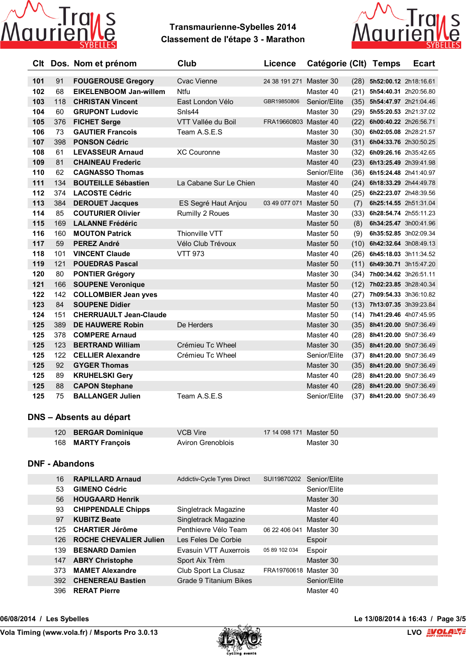



|     |     | CIt Dos. Nom et prénom        | Club                   | <b>Licence</b>        | Catégorie (Clt) Temps |      |                              | <b>Ecart</b> |
|-----|-----|-------------------------------|------------------------|-----------------------|-----------------------|------|------------------------------|--------------|
|     |     |                               |                        |                       |                       |      |                              |              |
| 101 | 91  | <b>FOUGEROUSE Gregory</b>     | <b>Cvac Vienne</b>     | 24 38 191 271         | Master 30             | (28) | 5h52:00.12 2h18:16.61        |              |
| 102 | 68  | <b>EIKELENBOOM Jan-willem</b> | Ntfu                   |                       | Master 40             |      | (21) 5h54:40.31 2h20:56.80   |              |
| 103 | 118 | <b>CHRISTAN Vincent</b>       | East London Vélo       | GBR19850806           | Senior/Elite          | (35) | 5h54:47.97 2h21:04.46        |              |
| 104 | 60  | <b>GRUPONT Ludovic</b>        | Snls44                 |                       | Master 30             |      | (29) 5h55:20.53 2h21:37.02   |              |
| 105 | 376 | <b>FICHET Serge</b>           | VTT Vallée du Boil     | FRA19660803 Master 40 |                       |      | (22) 6h00:40.22 2h26:56.71   |              |
| 106 | 73  | <b>GAUTIER Francois</b>       | Team A.S.E.S           |                       | Master 30             |      | (30) 6h02:05.08 2h28:21.57   |              |
| 107 | 398 | <b>PONSON Cédric</b>          |                        |                       | Master 30             | (31) | 6h04:33.76 2h30:50.25        |              |
| 108 | 61  | <b>LEVASSEUR Arnaud</b>       | <b>XC Couronne</b>     |                       | Master 30             | (32) | 6h09:26.16 2h35:42.65        |              |
| 109 | 81  | <b>CHAINEAU Frederic</b>      |                        |                       | Master 40             |      | (23) 6h13:25.49 2h39:41.98   |              |
| 110 | 62  | <b>CAGNASSO Thomas</b>        |                        |                       | Senior/Elite          |      | (36) 6h15:24.48 2h41:40.97   |              |
| 111 | 134 | <b>BOUTEILLE Sébastien</b>    | La Cabane Sur Le Chien |                       | Master 40             | (24) | 6h18:33.29 2h44:49.78        |              |
| 112 | 374 | <b>LACOSTE Cédric</b>         |                        |                       | Master 40             |      | (25) 6h22:23.07 2h48:39.56   |              |
| 113 | 384 | <b>DEROUET Jacques</b>        | ES Segré Haut Anjou    | 03 49 077 071         | Master 50             | (7)  | 6h25:14.55 2h51:31.04        |              |
| 114 | 85  | <b>COUTURIER Olivier</b>      | Rumilly 2 Roues        |                       | Master 30             | (33) | 6h28:54.74 2h55:11.23        |              |
| 115 | 169 | <b>LALANNE Frédéric</b>       |                        |                       | Master 50             | (8)  | 6h34:25.47 3h00:41.96        |              |
| 116 | 160 | <b>MOUTON Patrick</b>         | <b>Thionville VTT</b>  |                       | Master 50             | (9)  | 6h35:52.85 3h02:09.34        |              |
| 117 | 59  | <b>PEREZ André</b>            | Vélo Club Trévoux      |                       | Master 50             | (10) | 6h42:32.64 3h08:49.13        |              |
| 118 | 101 | <b>VINCENT Claude</b>         | <b>VTT 973</b>         |                       | Master 40             | (26) | 6h45:18.03 3h11:34.52        |              |
| 119 | 121 | <b>POUEDRAS Pascal</b>        |                        |                       | Master 50             |      | $(11)$ 6h49:30.71 3h15:47.20 |              |
| 120 | 80  | <b>PONTIER Grégory</b>        |                        |                       | Master 30             |      | (34) 7h00:34.62 3h26:51.11   |              |
| 121 | 166 | <b>SOUPENE Veronique</b>      |                        |                       | Master 50             |      | (12) 7h02:23.85 3h28:40.34   |              |
| 122 | 142 | <b>COLLOMBIER Jean yves</b>   |                        |                       | Master 40             |      | (27) 7h09:54.33 3h36:10.82   |              |
| 123 | 84  | <b>SOUPENE Didier</b>         |                        |                       | Master 50             |      | (13) 7h13:07.35 3h39:23.84   |              |
| 124 | 151 | <b>CHERRUAULT Jean-Claude</b> |                        |                       | Master 50             |      | (14) 7h41:29.46 4h07:45.95   |              |
| 125 | 389 | <b>DE HAUWERE Robin</b>       | De Herders             |                       | Master 30             |      | (35) 8h41:20.00 5h07:36.49   |              |
| 125 | 378 | <b>COMPERE Arnaud</b>         |                        |                       | Master 40             |      | (28) 8h41:20.00 5h07:36.49   |              |
| 125 | 123 | <b>BERTRAND William</b>       | Crémieu Tc Wheel       |                       | Master 30             |      | (35) 8h41:20.00 5h07:36.49   |              |
| 125 | 122 | <b>CELLIER Alexandre</b>      | Crémieu Tc Wheel       |                       | Senior/Elite          | (37) | 8h41:20.00 5h07:36.49        |              |
| 125 | 92  | <b>GYGER Thomas</b>           |                        |                       | Master 30             |      | (35) 8h41:20.00 5h07:36.49   |              |
| 125 | 89  | <b>KRUHELSKI Gery</b>         |                        |                       | Master 40             |      | (28) 8h41:20.00 5h07:36.49   |              |
| 125 | 88  | <b>CAPON Stephane</b>         |                        |                       | Master 40             |      | (28) 8h41:20.00 5h07:36.49   |              |
| 125 | 75  | <b>BALLANGER Julien</b>       | Team A.S.E.S           |                       | Senior/Elite          |      | (37) 8h41:20.00 5h07:36.49   |              |

### **DNS – Absents au départ**

| 120 BERGAR Dominique      | VCB Vire          | 17 14 098 171 Master 50 |
|---------------------------|-------------------|-------------------------|
| 168 <b>MARTY François</b> | Aviron Grenoblois | Master 30               |

#### **DNF - Abandons**

| 16  | <b>RAPILLARD Arnaud</b>       | <b>Addictiv-Cycle Tyres Direct</b> | SUI19870202           | Senior/Flite |
|-----|-------------------------------|------------------------------------|-----------------------|--------------|
| 53  | <b>GIMENO Cédric</b>          |                                    |                       | Senior/Flite |
| 56  | <b>HOUGAARD Henrik</b>        |                                    |                       | Master 30    |
| 93  | <b>CHIPPENDALE Chipps</b>     | Singletrack Magazine               |                       | Master 40    |
| 97  | <b>KUBITZ Beate</b>           | Singletrack Magazine               |                       | Master 40    |
| 125 | <b>CHARTIER Jérôme</b>        | Penthievre Vélo Team               | 06 22 406 041         | Master 30    |
| 126 | <b>ROCHE CHEVALIER Julien</b> | Les Feles De Corbie                |                       | Espoir       |
| 139 | <b>BESNARD Damien</b>         | Evasuin VTT Auxerrois              | 05 89 102 034         | Espoir       |
| 147 | <b>ABRY Christophe</b>        | Sport Aix Trèm                     |                       | Master 30    |
| 373 | <b>MAMET Alexandre</b>        | Club Sport La Clusaz               | FRA19760618 Master 30 |              |
| 392 | <b>CHENEREAU Bastien</b>      | Grade 9 Titanium Bikes             |                       | Senior/Elite |
| 396 | <b>RERAT Pierre</b>           |                                    |                       | Master 40    |



**06/08/2014 / Les Sybelles Le 13/08/2014 à 16:43 / Page 3/5**

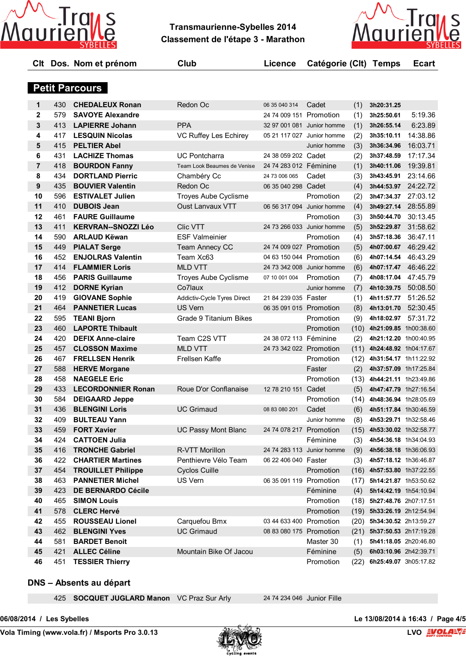



|                |     | CIt Dos. Nom et prénom     | Club                        | <b>Licence</b>             | Catégorie (Clt) Temps             |                              | <b>Ecart</b>          |
|----------------|-----|----------------------------|-----------------------------|----------------------------|-----------------------------------|------------------------------|-----------------------|
|                |     |                            |                             |                            |                                   |                              |                       |
|                |     | <b>Petit Parcours</b>      |                             |                            |                                   |                              |                       |
| 1              | 430 | <b>CHEDALEUX Ronan</b>     | Redon Oc                    | 06 35 040 314              | Cadet<br>(1)                      | 3h20:31.25                   |                       |
| $\mathbf{2}$   | 579 | <b>SAVOYE Alexandre</b>    |                             | 24 74 009 151 Promotion    | (1)                               | 3h25:50.61                   | 5:19.36               |
| 3              | 413 | <b>LAPIERRE Johann</b>     | <b>PPA</b>                  |                            | 32 97 001 081 Junior homme<br>(1) | 3h26:55.14                   | 6:23.89               |
| 4              | 417 | <b>LESQUIN Nicolas</b>     | VC Ruffey Les Echirey       | 05 21 117 027 Junior homme | (2)                               | 3h35:10.11                   | 14:38.86              |
| 5              | 415 | <b>PELTIER Abel</b>        |                             |                            | Junior homme<br>(3)               | 3h36:34.96                   | 16:03.71              |
| 6              | 431 | <b>LACHIZE Thomas</b>      | <b>UC Pontcharra</b>        | 24 38 059 202 Cadet        | (2)                               | 3h37:48.59                   | 17:17.34              |
| $\overline{7}$ | 418 | <b>BOURDON Fanny</b>       | Team Look Beaumes de Venise | 24 74 283 012 Féminine     | (1)                               | 3h40:11.06                   | 19:39.81              |
| 8              | 434 | <b>DORTLAND Pierric</b>    | Chambéry Cc                 | 24 73 006 065              | Cadet<br>(3)                      | 3h43:45.91                   | 23:14.66              |
| 9              | 435 | <b>BOUVIER Valentin</b>    | Redon Oc                    | 06 35 040 298 Cadet        | (4)                               | 3h44:53.97                   | 24:22.72              |
| 10             | 596 | <b>ESTIVALET Julien</b>    | Troyes Aube Cyclisme        |                            | Promotion<br>(2)                  | 3h47:34.37                   | 27:03.12              |
| 11             | 410 | <b>DUBOIS Jean</b>         | Oust Lanvaux VTT            |                            | 06 56 317 094 Junior homme<br>(4) | 3h49:27.14                   | 28:55.89              |
| 12             | 461 | <b>FAURE Guillaume</b>     |                             |                            | Promotion<br>(3)                  | 3h50:44.70                   | 30:13.45              |
| 13             | 411 | <b>KERVRAN--SNOZZI Léo</b> | Clic VTT                    |                            | 24 73 266 033 Junior homme<br>(5) | 3h52:29.87                   | 31:58.62              |
| 14             | 590 | <b>ARLAUD Këwan</b>        | <b>ESF Valmeinier</b>       |                            | Promotion<br>(4)                  | 3h57:18.36                   | 36:47.11              |
| 15             | 449 | <b>PIALAT Serge</b>        | Team Annecy CC              | 24 74 009 027 Promotion    | (5)                               | 4h07:00.67                   | 46:29.42              |
| 16             | 452 | <b>ENJOLRAS Valentin</b>   | Team Xc63                   | 04 63 150 044 Promotion    | (6)                               |                              | 4h07:14.54 46:43.29   |
| 17             | 414 | <b>FLAMMIER Loris</b>      | <b>MLD VTT</b>              |                            | 24 73 342 008 Junior homme<br>(6) |                              | 4h07:17.47 46:46.22   |
| 18             | 456 | <b>PARIS Guillaume</b>     | <b>Troyes Aube Cyclisme</b> | 07 10 001 004              | Promotion<br>(7)                  |                              | 4h08:17.04 47:45.79   |
| 19             | 412 | <b>DORNE Kyrian</b>        | Co7laux                     |                            | Junior homme<br>(7)               |                              | 4h10:39.75 50:08.50   |
| 20             | 419 | <b>GIOVANE Sophie</b>      | Addictiv-Cycle Tyres Direct | 21 84 239 035 Faster       | (1)                               | 4h11:57.77                   | 51:26.52              |
| 21             | 464 | <b>PANNETIER Lucas</b>     | <b>US Vern</b>              | 06 35 091 015 Promotion    | (8)                               | 4h13:01.70                   | 52:30.45              |
| 22             | 595 | <b>TEANI Bjorn</b>         | Grade 9 Titanium Bikes      |                            | Promotion<br>(9)                  |                              | 4h18:02.97 57:31.72   |
| 23             | 460 | <b>LAPORTE Thibault</b>    |                             |                            | Promotion<br>(10)                 |                              | 4h21:09.85 1h00:38.60 |
| 24             | 420 | <b>DEFIX Anne-claire</b>   | Team C2S VTT                | 24 38 072 113 Féminine     | (2)                               |                              | 4h21:12.20 1h00:40.95 |
| 25             | 457 | <b>CLOSSON Maxime</b>      | <b>MLD VTT</b>              | 24 73 342 022 Promotion    |                                   | $(11)$ 4h24:48.92 1h04:17.67 |                       |
| 26             | 467 | <b>FRELLSEN Henrik</b>     | Frellsen Kaffe              |                            | Promotion<br>(12)                 |                              | 4h31:54.17 1h11:22.92 |
| 27             | 588 | <b>HERVE Morgane</b>       |                             |                            | Faster<br>(2)                     |                              | 4h37:57.09 1h17:25.84 |
| 28             | 458 | <b>NAEGELE Eric</b>        |                             |                            | Promotion<br>(13)                 |                              | 4h44:21.11 1h23:49.86 |
| 29             | 433 | <b>LECORDONNIER Ronan</b>  | Roue D'or Conflanaise       | 12 78 210 151 Cadet        | (5)                               |                              | 4h47:47.79 1h27:16.54 |
| 30             | 584 | <b>DEIGAARD Jeppe</b>      |                             |                            | Promotion                         | (14) 4h48:36.94 1h28:05.69   |                       |
| 31             | 436 | <b>BLENGINI Loris</b>      | <b>UC Grimaud</b>           | 08 83 080 201 Cadet        |                                   | $(6)$ 4h51:17.84 1h30:46.59  |                       |
| 32             | 409 | <b>BULTEAU Yann</b>        |                             |                            | Junior homme<br>(8)               |                              | 4h53:29.71 1h32:58.46 |
| 33             | 459 | <b>FORT Xavier</b>         | <b>UC Passy Mont Blanc</b>  | 24 74 078 217 Promotion    | (15)                              | 4h53:30.02 1h32:58.77        |                       |
| 34             | 424 | <b>CATTOEN Julia</b>       |                             |                            | Féminine<br>(3)                   |                              | 4h54:36.18 1h34:04.93 |
| 35             | 416 | <b>TRONCHE Gabriel</b>     | R-VTT Morillon              |                            | 24 74 283 113 Junior homme<br>(9) |                              | 4h56:38.18 1h36:06.93 |
| 36             | 422 | <b>CHARTIER Martines</b>   | Penthievre Vélo Team        | 06 22 406 040 Faster       | (3)                               |                              | 4h57:18.12 1h36:46.87 |
| 37             | 454 | <b>TROUILLET Philippe</b>  | <b>Cyclos Cuille</b>        |                            | Promotion                         | (16) 4h57:53.80 1h37:22.55   |                       |
| 38             | 463 | <b>PANNETIER Michel</b>    | US Vern                     | 06 35 091 119 Promotion    | (17)                              |                              | 5h14:21.87 1h53:50.62 |
| 39             | 423 | <b>DE BERNARDO Cécile</b>  |                             |                            | Féminine<br>(4)                   |                              | 5h14:42.19 1h54:10.94 |
| 40             | 465 | <b>SIMON Louis</b>         |                             |                            | Promotion                         | (18) 5h27:48.76 2h07:17.51   |                       |
| 41             | 578 | <b>CLERC Hervé</b>         |                             |                            | Promotion                         | (19) 5h33:26.19 2h12:54.94   |                       |
| 42             | 455 | <b>ROUSSEAU Lionel</b>     | Carquefou Bmx               | 03 44 633 400 Promotion    |                                   | (20) 5h34:30.52 2h13:59.27   |                       |
| 43             | 462 | <b>BLENGINI Yves</b>       | <b>UC Grimaud</b>           | 08 83 080 175 Promotion    |                                   | (21) 5h37:50.53 2h17:19.28   |                       |
| 44             | 581 | <b>BARDET Benoit</b>       |                             |                            | Master 30<br>(1)                  |                              | 5h41:18.05 2h20:46.80 |
| 45             | 421 | <b>ALLEC Céline</b>        | Mountain Bike Of Jacou      |                            | Féminine<br>(5)                   |                              | 6h03:10.96 2h42:39.71 |
| 46             | 451 | <b>TESSIER Thierry</b>     |                             |                            | Promotion                         | (22) 6h25:49.07 3h05:17.82   |                       |

### **DNS – Absents au départ**

**SOCQUET JUGLARD Manon** VC Praz Sur Arly 24 74 234 046 Junior Fille



LVO **EVOLABVE**